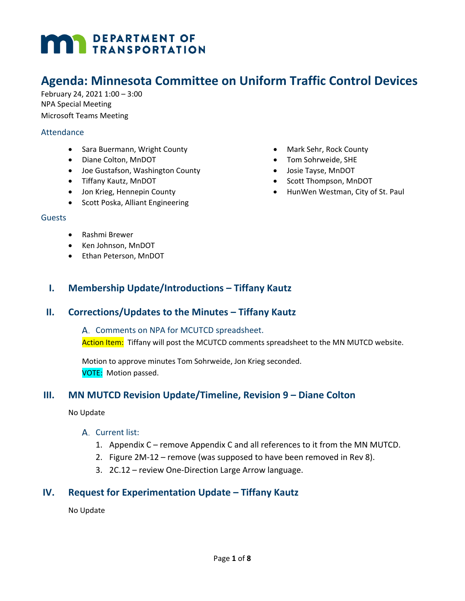# **MAY DEPARTMENT OF TRANSPORTATION**

## **Agenda: Minnesota Committee on Uniform Traffic Control Devices**

February 24, 2021 1:00 – 3:00 NPA Special Meeting Microsoft Teams Meeting

#### **Attendance**

- Sara Buermann, Wright County
- Diane Colton, MnDOT
- Joe Gustafson, Washington County
- Tiffany Kautz, MnDOT
- Jon Krieg, Hennepin County
- Scott Poska, Alliant Engineering
- Guests
	- Rashmi Brewer
	- Ken Johnson, MnDOT
	- Ethan Peterson, MnDOT
- Mark Sehr, Rock County
- Tom Sohrweide, SHE
- Josie Tayse, MnDOT
- Scott Thompson, MnDOT
- HunWen Westman, City of St. Paul

**I. Membership Update/Introductions – Tiffany Kautz**

#### **II. Corrections/Updates to the Minutes – Tiffany Kautz**

A. Comments on NPA for MCUTCD spreadsheet. Action Item: Tiffany will post the MCUTCD comments spreadsheet to the MN MUTCD website.

Motion to approve minutes Tom Sohrweide, Jon Krieg seconded. VOTE: Motion passed.

## **III. MN MUTCD Revision Update/Timeline, Revision 9 – Diane Colton**

No Update

#### A. Current list:

- 1. Appendix C remove Appendix C and all references to it from the MN MUTCD.
- 2. Figure 2M-12 remove (was supposed to have been removed in Rev 8).
- 3. 2C.12 review One-Direction Large Arrow language.

## **IV. Request for Experimentation Update – Tiffany Kautz**

No Update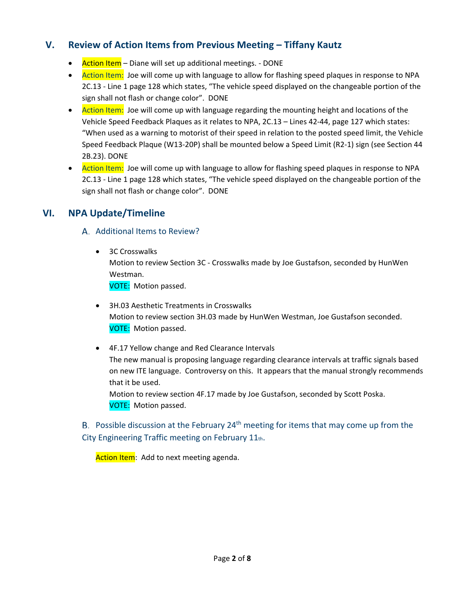## **V. Review of Action Items from Previous Meeting – Tiffany Kautz**

- Action Item Diane will set up additional meetings. DONE
- Action Item: Joe will come up with language to allow for flashing speed plaques in response to NPA 2C.13 - Line 1 page 128 which states, "The vehicle speed displayed on the changeable portion of the sign shall not flash or change color". DONE
- Action Item: Joe will come up with language regarding the mounting height and locations of the Vehicle Speed Feedback Plaques as it relates to NPA, 2C.13 – Lines 42-44, page 127 which states: "When used as a warning to motorist of their speed in relation to the posted speed limit, the Vehicle Speed Feedback Plaque (W13-20P) shall be mounted below a Speed Limit (R2-1) sign (see Section 44 2B.23). DONE
- Action Item: Joe will come up with language to allow for flashing speed plaques in response to NPA 2C.13 - Line 1 page 128 which states, "The vehicle speed displayed on the changeable portion of the sign shall not flash or change color". DONE

## **VI. NPA Update/Timeline**

## A. Additional Items to Review?

- 3C Crosswalks Motion to review Section 3C - Crosswalks made by Joe Gustafson, seconded by HunWen Westman. VOTE: Motion passed.
- 3H.03 Aesthetic Treatments in Crosswalks Motion to review section 3H.03 made by HunWen Westman, Joe Gustafson seconded. VOTE: Motion passed.
- 4F.17 Yellow change and Red Clearance Intervals The new manual is proposing language regarding clearance intervals at traffic signals based on new ITE language. Controversy on this. It appears that the manual strongly recommends that it be used.

Motion to review section 4F.17 made by Joe Gustafson, seconded by Scott Poska. VOTE: Motion passed.

B. Possible discussion at the February  $24<sup>th</sup>$  meeting for items that may come up from the City Engineering Traffic meeting on February 11th.

Action Item: Add to next meeting agenda.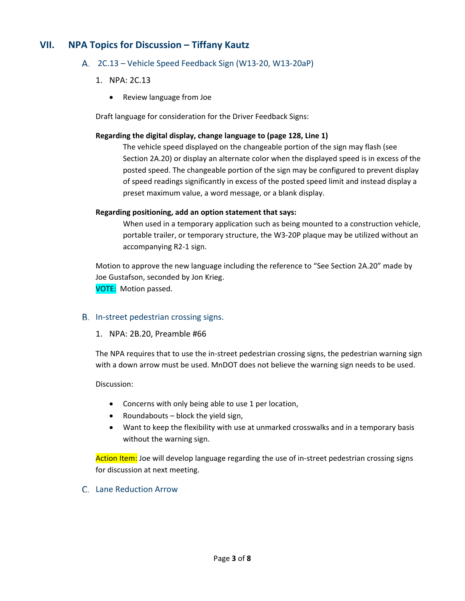## **VII. NPA Topics for Discussion – Tiffany Kautz**

#### 2C.13 – Vehicle Speed Feedback Sign (W13-20, W13-20aP)

- 1. NPA: 2C.13
	- Review language from Joe

Draft language for consideration for the Driver Feedback Signs:

#### **Regarding the digital display, change language to (page 128, Line 1)**

The vehicle speed displayed on the changeable portion of the sign may flash (see Section 2A.20) or display an alternate color when the displayed speed is in excess of the posted speed. The changeable portion of the sign may be configured to prevent display of speed readings significantly in excess of the posted speed limit and instead display a preset maximum value, a word message, or a blank display.

#### **Regarding positioning, add an option statement that says:**

When used in a temporary application such as being mounted to a construction vehicle, portable trailer, or temporary structure, the W3-20P plaque may be utilized without an accompanying R2-1 sign.

Motion to approve the new language including the reference to "See Section 2A.20" made by Joe Gustafson, seconded by Jon Krieg. VOTE: Motion passed.

- B. In-street pedestrian crossing signs.
	- 1. NPA: 2B.20, Preamble #66

The NPA requires that to use the in-street pedestrian crossing signs, the pedestrian warning sign with a down arrow must be used. MnDOT does not believe the warning sign needs to be used.

#### Discussion:

- Concerns with only being able to use 1 per location,
- Roundabouts block the yield sign,
- Want to keep the flexibility with use at unmarked crosswalks and in a temporary basis without the warning sign.

Action Item: Joe will develop language regarding the use of in-street pedestrian crossing signs for discussion at next meeting.

#### Lane Reduction Arrow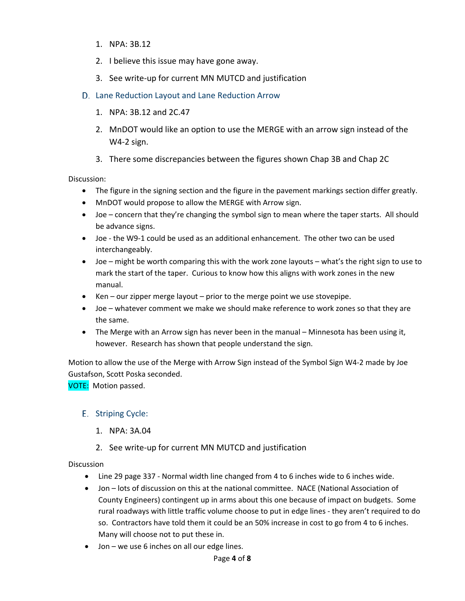- 1. NPA: 3B.12
- 2. I believe this issue may have gone away.
- 3. See write-up for current MN MUTCD and justification
- D. Lane Reduction Layout and Lane Reduction Arrow
	- 1. NPA: 3B.12 and 2C.47
	- 2. MnDOT would like an option to use the MERGE with an arrow sign instead of the W4-2 sign.
	- 3. There some discrepancies between the figures shown Chap 3B and Chap 2C

Discussion:

- The figure in the signing section and the figure in the pavement markings section differ greatly.
- MnDOT would propose to allow the MERGE with Arrow sign.
- Joe concern that they're changing the symbol sign to mean where the taper starts. All should be advance signs.
- Joe the W9-1 could be used as an additional enhancement. The other two can be used interchangeably.
- Joe might be worth comparing this with the work zone layouts what's the right sign to use to mark the start of the taper. Curious to know how this aligns with work zones in the new manual.
- Ken our zipper merge layout prior to the merge point we use stovepipe.
- Joe whatever comment we make we should make reference to work zones so that they are the same.
- The Merge with an Arrow sign has never been in the manual Minnesota has been using it, however. Research has shown that people understand the sign.

Motion to allow the use of the Merge with Arrow Sign instead of the Symbol Sign W4-2 made by Joe Gustafson, Scott Poska seconded.

VOTE: Motion passed.

#### E. Striping Cycle:

- 1. NPA: 3A.04
- 2. See write-up for current MN MUTCD and justification

**Discussion** 

- Line 29 page 337 Normal width line changed from 4 to 6 inches wide to 6 inches wide.
- Jon lots of discussion on this at the national committee. NACE (National Association of County Engineers) contingent up in arms about this one because of impact on budgets. Some rural roadways with little traffic volume choose to put in edge lines - they aren't required to do so. Contractors have told them it could be an 50% increase in cost to go from 4 to 6 inches. Many will choose not to put these in.
- Jon we use 6 inches on all our edge lines.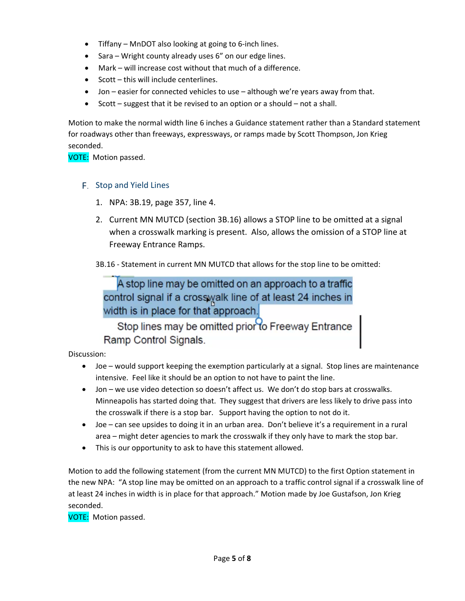- Tiffany MnDOT also looking at going to 6-inch lines.
- Sara Wright county already uses 6" on our edge lines.
- Mark will increase cost without that much of a difference.
- Scott this will include centerlines.
- Jon easier for connected vehicles to use although we're years away from that.
- Scott suggest that it be revised to an option or a should not a shall.

Motion to make the normal width line 6 inches a Guidance statement rather than a Standard statement for roadways other than freeways, expressways, or ramps made by Scott Thompson, Jon Krieg seconded.

VOTE: Motion passed.

#### F. Stop and Yield Lines

- 1. NPA: 3B.19, page 357, line 4.
- 2. Current MN MUTCD (section 3B.16) allows a STOP line to be omitted at a signal when a crosswalk marking is present. Also, allows the omission of a STOP line at Freeway Entrance Ramps.
- 3B.16 Statement in current MN MUTCD that allows for the stop line to be omitted:

A stop line may be omitted on an approach to a traffic control signal if a crosswalk line of at least 24 inches in width is in place for that approach.

Stop lines may be omitted prior to Freeway Entrance Ramp Control Signals.

Discussion:

- Joe would support keeping the exemption particularly at a signal. Stop lines are maintenance intensive. Feel like it should be an option to not have to paint the line.
- Jon we use video detection so doesn't affect us. We don't do stop bars at crosswalks. Minneapolis has started doing that. They suggest that drivers are less likely to drive pass into the crosswalk if there is a stop bar. Support having the option to not do it.
- Joe can see upsides to doing it in an urban area. Don't believe it's a requirement in a rural area – might deter agencies to mark the crosswalk if they only have to mark the stop bar.
- This is our opportunity to ask to have this statement allowed.

Motion to add the following statement (from the current MN MUTCD) to the first Option statement in the new NPA: "A stop line may be omitted on an approach to a traffic control signal if a crosswalk line of at least 24 inches in width is in place for that approach." Motion made by Joe Gustafson, Jon Krieg seconded.

VOTE: Motion passed.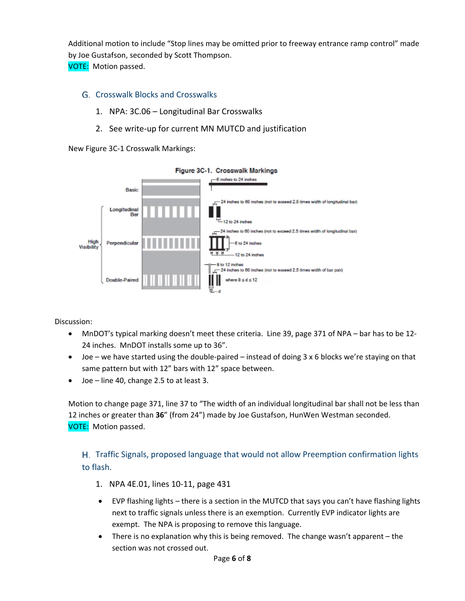Additional motion to include "Stop lines may be omitted prior to freeway entrance ramp control" made by Joe Gustafson, seconded by Scott Thompson.

VOTE: Motion passed.

### Crosswalk Blocks and Crosswalks

- 1. NPA: 3C.06 Longitudinal Bar Crosswalks
- 2. See write-up for current MN MUTCD and justification

New Figure 3C-1 Crosswalk Markings:



Discussion:

- MnDOT's typical marking doesn't meet these criteria. Line 39, page 371 of NPA bar has to be 12- 24 inches. MnDOT installs some up to 36".
- Joe we have started using the double-paired instead of doing 3 x 6 blocks we're staying on that same pattern but with 12" bars with 12" space between.
- Joe line 40, change 2.5 to at least 3.

Motion to change page 371, line 37 to "The width of an individual longitudinal bar shall not be less than 12 inches or greater than **36**" (from 24") made by Joe Gustafson, HunWen Westman seconded. VOTE: Motion passed.

Traffic Signals, proposed language that would not allow Preemption confirmation lights to flash.

- 1. NPA 4E.01, lines 10-11, page 431
- EVP flashing lights there is a section in the MUTCD that says you can't have flashing lights next to traffic signals unless there is an exemption. Currently EVP indicator lights are exempt. The NPA is proposing to remove this language.
- There is no explanation why this is being removed. The change wasn't apparent the section was not crossed out.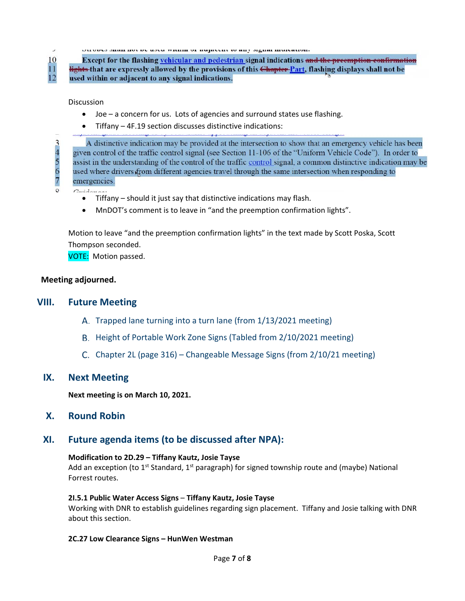10  $11$ 

 $34567$ 

an any site that we have a series and a collection of the second monetation.

Except for the flashing vehicular and pedestrian signal indications and the preemption confirmation lights that are expressly allowed by the provisions of this Chapter Part, flashing displays shall not be  $12$ used within or adjacent to any signal indications.

#### **Discussion**

- Joe a concern for us. Lots of agencies and surround states use flashing.
- Tiffany 4F.19 section discusses distinctive indications:

A distinctive indication may be provided at the intersection to show that an emergency vehicle has been given control of the traffic control signal (see Section 11-106 of the "Uniform Vehicle Code"). In order to assist in the understanding of the control of the traffic control signal, a common distinctive indication may be used where drivers from different agencies travel through the same intersection when responding to emergencies.

 $C_{ij}$   $J_{ij}$ 

- Tiffany should it just say that distinctive indications may flash.
- MnDOT's comment is to leave in "and the preemption confirmation lights".

Motion to leave "and the preemption confirmation lights" in the text made by Scott Poska, Scott Thompson seconded.

VOTE: Motion passed.

#### **Meeting adjourned.**

#### **VIII. Future Meeting**

- A. Trapped lane turning into a turn lane (from 1/13/2021 meeting)
- B. Height of Portable Work Zone Signs (Tabled from 2/10/2021 meeting)
- C. Chapter 2L (page 316) Changeable Message Signs (from  $2/10/21$  meeting)

#### **IX. Next Meeting**

**Next meeting is on March 10, 2021.**

**X. Round Robin**

#### **XI. Future agenda items (to be discussed after NPA):**

#### **Modification to 2D.29 – Tiffany Kautz, Josie Tayse**

Add an exception (to  $1^{st}$  Standard,  $1^{st}$  paragraph) for signed township route and (maybe) National Forrest routes.

#### **2I.5.1 Public Water Access Signs** – **Tiffany Kautz, Josie Tayse**

Working with DNR to establish guidelines regarding sign placement. Tiffany and Josie talking with DNR about this section.

#### **2C.27 Low Clearance Signs – HunWen Westman**